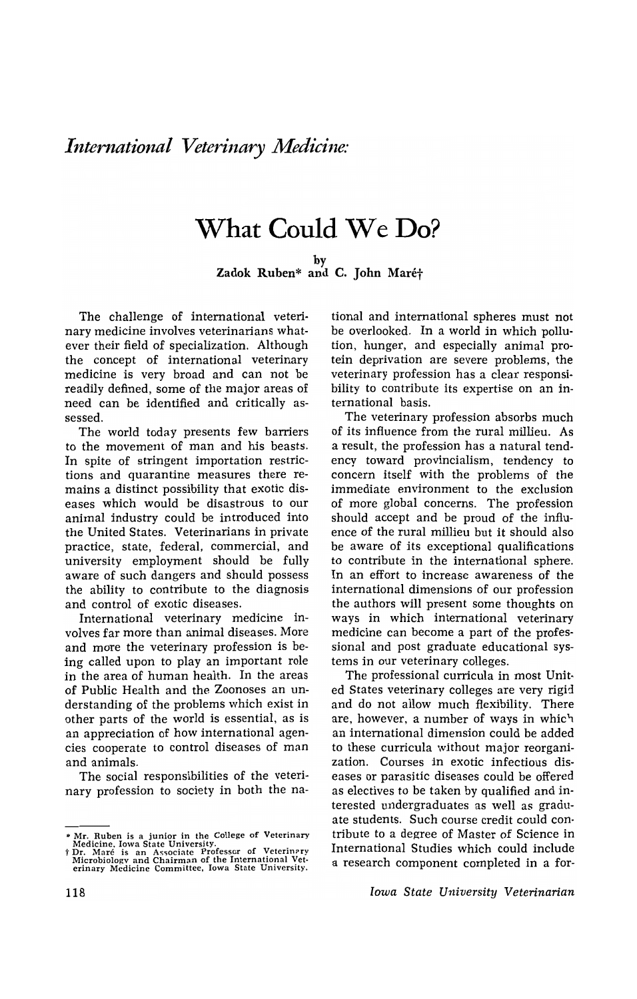## **What Could** We **Do?**

by

Zadok Ruben\* and C. John Maré†

The challenge of international veterinary medicine involves veterinarians whatever their field of specialization. Although the concept of international veterinary medicine is very broad and can not be readily defined, some of the major areas of need can be identified and critically assessed.

The world today presents few barriers to the movement of man and his beasts. In spite of stringent importation restrictions and quarantine measures there remains a distinct possibility that *exotic* diseases which would be disastrous to our animal industry could be introduced into the United States. Veterinarians in private practice, state, federal, commercial, and university employment should be fully aware of such dangers and should possess the ability to contribute to the diagnosis and control of exotic diseases.

International veterinary medicine involves far more than animal diseases. More and more the veterinary profession is being called upon to play an important role in the area of human health. In the areas of Public Health and the Zoonoses an understanding of the problems which exist in other parts of the world is essential, as is an appreciation of how international agencies cooperate to control diseases of man and animals.

The social responsibilities of the veterinary profession to society in both the national and international spheres must not be overlooked. In a world in which pollution, hunger, and especially animal protein deprivation are severe problems, the veterinary profession has a clear responsibility to contribute its expertise on an international basis.

The veterinary profession absorbs much of its influence from the rural millieu. As a result, the profession has a natural tendency toward provincialism, tendency to concern itself with the problems of the immediate environment to the exclusion of more global concerns. The profession should accept and be proud of the influence of the rural millieu but it should also be aware of its exceptional qualifications to contribute in the international sphere. In an effort to increase awareness of the international dimensions of our profession the authors will present some thoughts on ways in which international veterinary medicine can become a part of the professional and post graduate educational systems in our veterinary colleges.

The professional curricula in most United States veterinary colleges are very rigid and do not allow much flexibility. There are, however, a number of ways in whic'1 an international dimension could be added to these curricula without major reorganization. Courses in exotic infectious diseases or parasitic diseases could be offered as electives to be taken by qualified and interested undergraduates as well as graduate students. Such course credit could contribute to a degree of Master of Science in International Studies which could include a research component completed in a for-

*Iowa State University Veterinarian* 

<sup>\*</sup> Mr. Ruben is a junior in the College of Veterinary<br>Medicine, Iowa State University.<br>T. Maré is an Associate Professor of Veterinary<br>Microbiology and Chairman of the International Vet-<br>erinary Medicine Committee, Iowa Sta